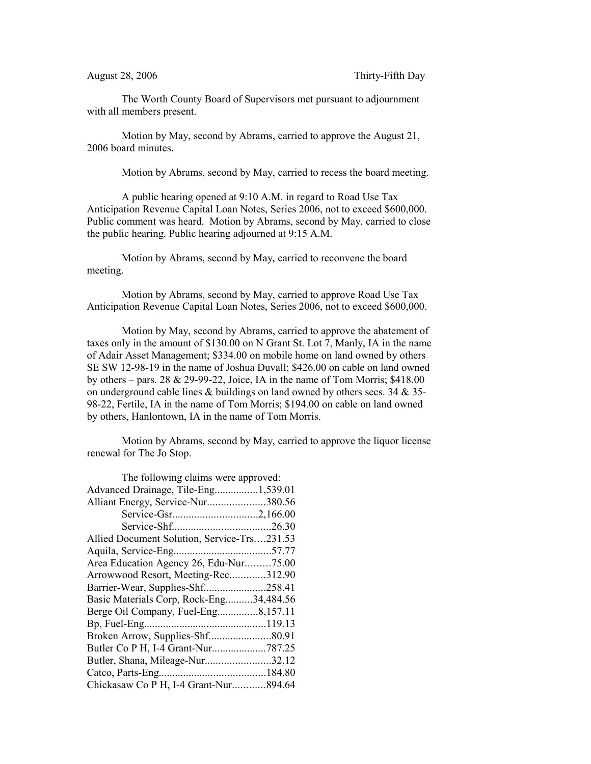The Worth County Board of Supervisors met pursuant to adjournment with all members present.

Motion by May, second by Abrams, carried to approve the August 21, 2006 board minutes.

Motion by Abrams, second by May, carried to recess the board meeting.

A public hearing opened at 9:10 A.M. in regard to Road Use Tax Anticipation Revenue Capital Loan Notes, Series 2006, not to exceed \$600,000. Public comment was heard. Motion by Abrams, second by May, carried to close the public hearing. Public hearing adjourned at 9:15 A.M.

Motion by Abrams, second by May, carried to reconvene the board meeting.

Motion by Abrams, second by May, carried to approve Road Use Tax Anticipation Revenue Capital Loan Notes, Series 2006, not to exceed \$600,000.

Motion by May, second by Abrams, carried to approve the abatement of taxes only in the amount of \$130.00 on N Grant St. Lot 7, Manly, IA in the name of Adair Asset Management; \$334.00 on mobile home on land owned by others SE SW 12-98-19 in the name of Joshua Duvall; \$426.00 on cable on land owned by others – pars. 28  $\&$  29-99-22, Joice, IA in the name of Tom Morris; \$418.00 on underground cable lines & buildings on land owned by others secs. 34 & 35- 98-22, Fertile, IA in the name of Tom Morris; \$194.00 on cable on land owned by others, Hanlontown, IA in the name of Tom Morris.

Motion by Abrams, second by May, carried to approve the liquor license renewal for The Jo Stop.

| The following claims were approved:         |  |
|---------------------------------------------|--|
| Advanced Drainage, Tile-Eng1,539.01         |  |
| Alliant Energy, Service-Nur380.56           |  |
|                                             |  |
|                                             |  |
| Allied Document Solution, Service-Trs231.53 |  |
|                                             |  |
| Area Education Agency 26, Edu-Nur75.00      |  |
| Arrowwood Resort, Meeting-Rec312.90         |  |
| Barrier-Wear, Supplies-Shf258.41            |  |
| Basic Materials Corp, Rock-Eng34,484.56     |  |
| Berge Oil Company, Fuel-Eng8,157.11         |  |
|                                             |  |
|                                             |  |
| Butler Co P H, I-4 Grant-Nur787.25          |  |
| Butler, Shana, Mileage-Nur32.12             |  |
|                                             |  |
| Chickasaw Co P H, I-4 Grant-Nur894.64       |  |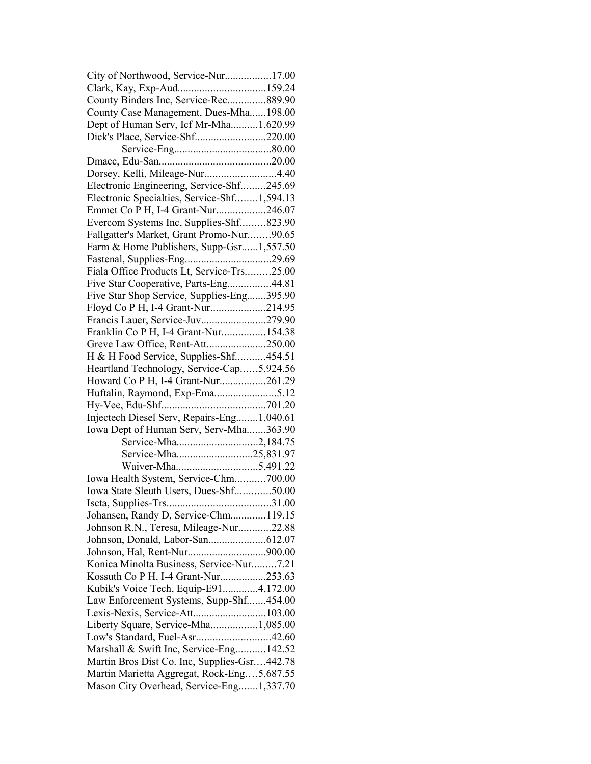| City of Northwood, Service-Nur17.00          |  |
|----------------------------------------------|--|
| Clark, Kay, Exp-Aud159.24                    |  |
| County Binders Inc, Service-Rec889.90        |  |
| County Case Management, Dues-Mha198.00       |  |
| Dept of Human Serv, Icf Mr-Mha1,620.99       |  |
| Dick's Place, Service-Shf220.00              |  |
|                                              |  |
|                                              |  |
| Dorsey, Kelli, Mileage-Nur4.40               |  |
| Electronic Engineering, Service-Shf245.69    |  |
| Electronic Specialties, Service-Shf1,594.13  |  |
| Emmet Co P H, I-4 Grant-Nur246.07            |  |
| Evercom Systems Inc, Supplies-Shf823.90      |  |
| Fallgatter's Market, Grant Promo-Nur90.65    |  |
|                                              |  |
| Farm & Home Publishers, Supp-Gsr1,557.50     |  |
|                                              |  |
| Fiala Office Products Lt, Service-Trs25.00   |  |
| Five Star Cooperative, Parts-Eng44.81        |  |
| Five Star Shop Service, Supplies-Eng395.90   |  |
| Floyd Co P H, I-4 Grant-Nur214.95            |  |
| Francis Lauer, Service-Juv279.90             |  |
| Franklin Co P H, I-4 Grant-Nur154.38         |  |
| Greve Law Office, Rent-Att250.00             |  |
| H & H Food Service, Supplies-Shf454.51       |  |
| Heartland Technology, Service-Cap5,924.56    |  |
| Howard Co P H, I-4 Grant-Nur261.29           |  |
| Huftalin, Raymond, Exp-Ema5.12               |  |
|                                              |  |
| Injectech Diesel Serv, Repairs-Eng1,040.61   |  |
| Iowa Dept of Human Serv, Serv-Mha363.90      |  |
|                                              |  |
|                                              |  |
|                                              |  |
| Iowa Health System, Service-Chm700.00        |  |
| Iowa State Sleuth Users, Dues-Shf50.00       |  |
|                                              |  |
|                                              |  |
| Johansen, Randy D, Service-Chm119.15         |  |
| Johnson R.N., Teresa, Mileage-Nur22.88       |  |
|                                              |  |
|                                              |  |
| Konica Minolta Business, Service-Nur7.21     |  |
| Kossuth Co P H, I-4 Grant-Nur253.63          |  |
| Kubik's Voice Tech, Equip-E914,172.00        |  |
| Law Enforcement Systems, Supp-Shf454.00      |  |
| Lexis-Nexis, Service-Att103.00               |  |
| Liberty Square, Service-Mha1,085.00          |  |
| Low's Standard, Fuel-Asr42.60                |  |
| Marshall & Swift Inc, Service-Eng142.52      |  |
| Martin Bros Dist Co. Inc, Supplies-Gsr442.78 |  |
| Martin Marietta Aggregat, Rock-Eng5,687.55   |  |
| Mason City Overhead, Service-Eng1,337.70     |  |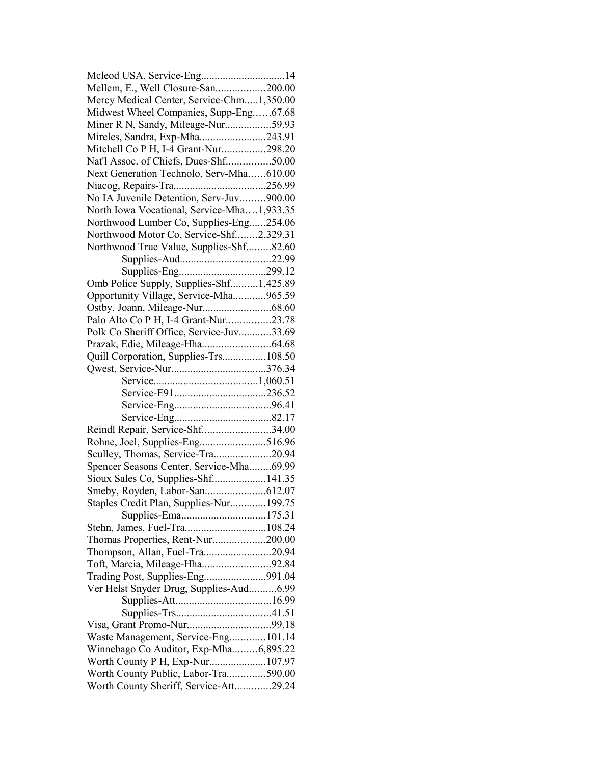| Mcleod USA, Service-Eng14                  |  |
|--------------------------------------------|--|
| Mellem, E., Well Closure-San200.00         |  |
| Mercy Medical Center, Service-Chm1,350.00  |  |
| Midwest Wheel Companies, Supp-Eng67.68     |  |
| Miner R N, Sandy, Mileage-Nur59.93         |  |
| Mireles, Sandra, Exp-Mha243.91             |  |
| Mitchell Co P H, I-4 Grant-Nur298.20       |  |
| Nat'l Assoc. of Chiefs, Dues-Shf50.00      |  |
| Next Generation Technolo, Serv-Mha610.00   |  |
|                                            |  |
| No IA Juvenile Detention, Serv-Juv900.00   |  |
| North Iowa Vocational, Service-Mha1,933.35 |  |
| Northwood Lumber Co, Supplies-Eng254.06    |  |
| Northwood Motor Co, Service-Shf2,329.31    |  |
| Northwood True Value, Supplies-Shf82.60    |  |
|                                            |  |
|                                            |  |
| Omb Police Supply, Supplies-Shf1,425.89    |  |
| Opportunity Village, Service-Mha965.59     |  |
|                                            |  |
| Palo Alto Co P H, I-4 Grant-Nur23.78       |  |
| Polk Co Sheriff Office, Service-Juv33.69   |  |
|                                            |  |
| Quill Corporation, Supplies-Trs108.50      |  |
|                                            |  |
|                                            |  |
|                                            |  |
|                                            |  |
|                                            |  |
| Reindl Repair, Service-Shf34.00            |  |
|                                            |  |
| Sculley, Thomas, Service-Tra20.94          |  |
| Spencer Seasons Center, Service-Mha69.99   |  |
| Sioux Sales Co, Supplies-Shf141.35         |  |
|                                            |  |
| Staples Credit Plan, Supplies-Nur199.75    |  |
| Supplies-Ema175.31                         |  |
| Stehn, James, Fuel-Tra108.24               |  |
| Thomas Properties, Rent-Nur200.00          |  |
| Thompson, Allan, Fuel-Tra20.94             |  |
| Toft, Marcia, Mileage-Hha92.84             |  |
| Trading Post, Supplies-Eng991.04           |  |
| Ver Helst Snyder Drug, Supplies-Aud6.99    |  |
|                                            |  |
|                                            |  |
|                                            |  |
| Waste Management, Service-Eng101.14        |  |
| Winnebago Co Auditor, Exp-Mha6,895.22      |  |
| Worth County P H, Exp-Nur107.97            |  |
|                                            |  |
| Worth County Public, Labor-Tra590.00       |  |